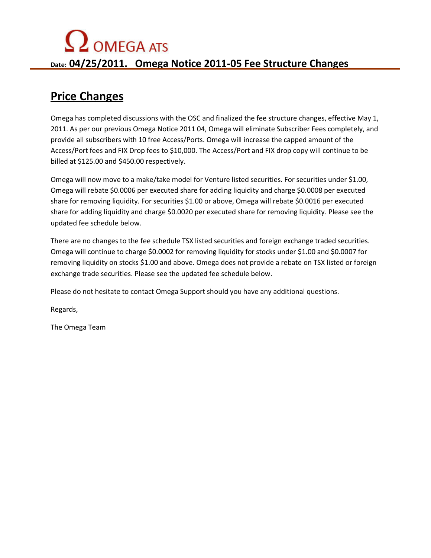# $\Omega$  OMEGA ATS

**Date: 04/25/2011. Omega Notice 2011-05 Fee Structure Changes** 

### **Price Changes**

Omega has completed discussions with the OSC and finalized the fee structure changes, effective May 1, 2011. As per our previous Omega Notice 2011 04, Omega will eliminate Subscriber Fees completely, and provide all subscribers with 10 free Access/Ports. Omega will increase the capped amount of the Access/Port fees and FIX Drop fees to \$10,000. The Access/Port and FIX drop copy will continue to be billed at \$125.00 and \$450.00 respectively.

Omega will now move to a make/take model for Venture listed securities. For securities under \$1.00, Omega will rebate \$0.0006 per executed share for adding liquidity and charge \$0.0008 per executed share for removing liquidity. For securities \$1.00 or above, Omega will rebate \$0.0016 per executed share for adding liquidity and charge \$0.0020 per executed share for removing liquidity. Please see the updated fee schedule below.

There are no changes to the fee schedule TSX listed securities and foreign exchange traded securities. Omega will continue to charge \$0.0002 for removing liquidity for stocks under \$1.00 and \$0.0007 for removing liquidity on stocks \$1.00 and above. Omega does not provide a rebate on TSX listed or foreign exchange trade securities. Please see the updated fee schedule below.

Please do not hesitate to contact Omega Support should you have any additional questions.

Regards,

The Omega Team